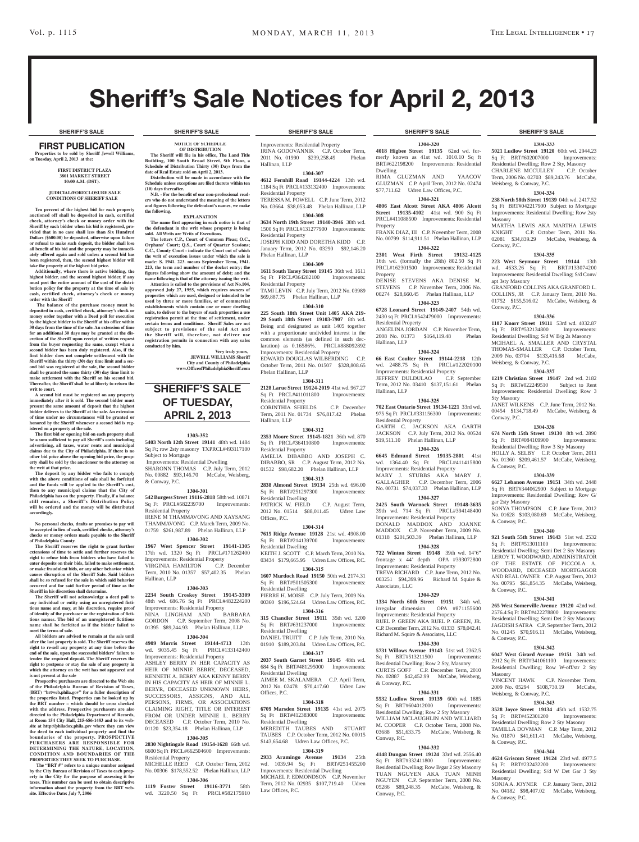# Sheriff's Sale Notices for April 2, 2013

### FIRST PUBLICATION **Properties to be sold by Sheriff Jewell Williams, on Tuesday, April 2, 2013 at the:**

### **First District Plaza 3801 Market Street 10:00 A.M. (DST).**

### **JUDICIAL/FORECLOSURE SALE CONDITIONS OF SHERIFF SALE**

**Ten percent of the highest bid for each property**  auctioned off shall be deposited in cash, certifi **check, attorney's check or money order with the Sheriff by each bidder when his bid is registered, pro-vided that in no case shall less than Six Hundred Dollars (\$600.00) be deposited, otherwise upon failure or refusal to make such deposit, the bidder shall lose all benefit of his bid and the property may be immediately offered again and sold unless a second bid has been registered, then, the second highest bidder will** 

**take the property at the highest bid price. Additionally, where there is active bidding, the highest bidder, and the second highest bidder, if any must post the entire amount of the cost of the distri-bution policy for the property at the time of sale by cash, certified check, attorney's check or money** 

**order with the Sheriff The balance of the purchase money must be deposited in cash, certified check, attorney's check or money order together with a Deed poll for execution by the highest bidder to the Sheriff at his office within 30 days from the time of the sale. An extension of time for an additional 30 days may be granted at the discretion of the Sheriff upon receipt of written request from the buyer requesting the same, except when a second bidder has been duly registered. Also, if the first bidder does not complete settlement with the Sheriff within the thirty (30) day time limit and a second bid was registered at the sale, the second bidder shall be granted the same thirty (30) day time limit to make settlement with the Sheriff on his second bid. Thereafter, the Sheriff shall be at liberty to return the writ to court.**

**A second bid must be registered on any property immediately after it is sold. The second bidder must present the same amount of deposit that the highest bidder delivers to the Sheriff at the sale. An extension of the sale. of time under no circumstances will be granted or honored by the Sheriff whenever a second bid is registered on a property at the sale.** 

**The first bid or opening bid on each property shall**  be a sum sufficient to pay all Sheriff's costs include **advertising, all taxes, water rents and municipal claims due to the City of Philadelphia. If there is no other bid price above the opening bid price, the property shall be sold by the auctioneer to the attorney on the writ at that price.**

**The deposit by any bidder who fails to comply with the above conditions of sale shall be forfeited and the funds will be applied to the Sheriff's cost, then to any municipal claims that the City of Philadelphia has on the property. Finally, if a balance still remains, a Sheriff's Distribution Policy will be ordered and the money will be distributed accordingly.**

**No personal checks, drafts or promises to pay will be accepted in lieu of cash, certified checks, attorney's checks or money orders made payable to the Sheriff of Philadelphia County.**

**The Sheriff reserves the right to grant further extensions of time to settle and further reserves the right to refuse bids from bidders who have failed to enter deposits on their bids, failed to make settlement, or make fraudulent bids, or any other behavior which causes disruption of the Sheriff Sale. Said bidders**  shall be so refused for the sale in which **s occurred and for said further period of time as the** 

**Sheriff in his discretion shall determine. The Sheriff will not acknowledge a deed poll to any individual or entity using an unregistered fictitious name and may, at his discretion, require proof of identity of the purchaser or the registration of fictitious names. The bid of an unregistered fictitious name shall be forfeited as if the bidder failed to meet the terms of sale.**

**All bidders are advised to remain at the sale until after the last property is sold. The Sheriff reserves the right to re-sell any property at any time before the end of the sale, upon the successful bidders' failure to tender the required deposit. The Sheriff reserves the right to postpone or stay the sale of any property in which the attorney on the writ has not appeared and is not present at the sale**

**Prospective purchasers are directed to the Web site of the Philadelphia Bureau of Revision of Taxes, (BRT) "brtweb.phila.gov" for a fuller description of the properties listed. Properties can be looked up by the BRT number – which should be cross checked with the address. Prospective purchasers are also directed to the Philadelphia Department of Records, at Room 154 City Hall, 215-686-1483 and to its website at http://philadox.phila.gov where they can view the deed to each individual property and find the boundaries of the property. PROSPECTIVE PURC HASER S ARE RE SPONSIBLE FOR DETERMINING THE NATURE , LOCATION, CONDITION AND BOUNDARIES OF THE PROPERTIES THEY SEEK TO PURCHASE.**

The "BRT #" refers to a unique number assign **by the City Bureau of Revision of Taxes to each property in the City for the purpose of assessing it for taxes. This number can be used to obtain descriptive information about the property from the BRT web-site. Effective Date: July 7, 2006**

**NOTICE OF SCHEDULE OF DISTRIBUTION The Sheriff will file in his office, The Land Title Building, 100 South Broad Street, 5th Floor, a Schedule of Distribution Thirty (30) Days from the** 

**Distribution will be made in accordance with the Schedule unless exceptions are filed thereto within ten** 

**N.B. - For the benefit of our non-professional readers who do not understand the meaning of the letters and figures following the defendant's names, we make** 

**EXPLANATION The name first appearing in each notice is that of the defendant in the writ whose property is being sold. All Writs are Writs of Executions. The letters C.P., Court of Common Pleas; O.C.,**  Orphans' Court; Q.S., Court of Quarter Sessio **C.C., County Court - indicate the Court out of which the writ of execution issues under which the sale is made: S. 1941. 223. means September Term, 1941. 223, the term and number of the docket entry; the figures following show the amount of debt; and the name following is that of the attorney issuing the writ. Attention is called to the provisions of Act No.104, approved July 27, 1955, which requires owners of properties which are used, designed or intended to be used by three or more families, or of commercial establishments which contain one or more dwelling units, to deliver to the buyers of such properties a use registration permit at the time of settlement, under certain terms and conditions. Sheriff Sales are not**  subject to provisions of the said Act and **the Sheriff will, therefore, not deliver use registration permits in connection with any sales** 

**SHERIFF'S SALE OF TUESDAY, APRIL 2, 2013** 

**1303-352 5403 North 12th Street 19141** 48th wd. 1484 Sq Ft; row 2sty masonry TXPRCL#493117100

**1304-301 542 Burgess Street 19116-2818** 58th wd. 10871 Sq Ft PRCL#582239700 Improvements:

IRENE M THAMMAVONG AND XAYSANG THAMMAVONG C.P. March Term, 2009 No. 01759 \$261,987.89 Phelan Hallinan, LLP **1304-302 1967 West Spencer Street 19141-1305**  17th wd. 1320 Sq Ft PRCL#171262400 Improvements: Residential Property<br>VIRGINIA HAMILTON C.P. December

Term, 2010 No. 01357 \$57,402.35 Phelan

**1304-303 2234 South Croskey Street 19145-3309**  48th wd. 686.76 Sq Ft PRCL#482224200 Improvements: Residential Property<br>NINA LINGHAM AND BARBARA

GORDON C.P. September Term, 2008 No. 01395 \$89,244.93 Phelan Hallinan, LLP **1304-304 4909 Morris Street 19144-4713** 13th

MICHELLE REED C.P. October Term, 2012. No. 00306 \$178,552.52 Phelan Hallinan, LLP **1304-306 1119 Foster Street 19116-3771** 58th wd. 3220.50 Sq Ft PRCL#582175910

 Improvements: Residential Dwelling SHARONN THOMAS C.P. July Term, 2012 No. 00882 \$93,146.70 McCabe, Weisberg,

**Very truly yours, JEWELL WILLIAMS Sheriff City and County of Philadelphia www.OfficeofPhiladelphiaSheriff.com**

**date of Real Estate sold on April 2, 2013.**

**(10) days thereafter.**

**conducted by him.**

Subject to Mortgage

& Conway, P.C.

Residential Property

VIRGINIA HAMILTON

NINA LINGHAM AND

wd. 9035.45 Sq Ft Improvements: Residential Property ASHLEY BERRY IN HER CAPACITY AS HEIR OF MINNIE BERRY, DECEASED, KENNETH A. BERRY AKA KENNY BERRY IN HIS CAPACITY AS HEIR OF MINNIE L. BERYR, DECEASED UNKNOWN HEIRS, SUCCESSORS, ASSIGNS, AND ALL PERSONS, FIRMS, OR ASSOCIATIONS CLAIMING RIGHT, TITLE OR INTEREST FROM OR UNDER MINNIE L. BERRY DECEASED C.P. October Term, 2010 No. 01120 \$23,354.18 Phelan Hallinan, LLP **1304-305 2830 Nightingale Road 19154-1628** 66th wd. 6600 Sq Ft PRCL#662504600 Improvements:

Residential Property

Hallinan, LLP

**the following.**

Improvements: Residential Property IRINA GODOVANNIK C.P. October Term, 2011 No. 01990 \$239,258.49 Phelan Hallinan, LLP

### **1304-307 4612 Fernhill Road 19144-4224** 13th wd.

1184 Sq Ft PRCL#133132400 Improvements: Residential Property TERESSA M. POWELL C.P. June Term, 2012 No. 03664 \$38,053.48 Phelan Hallinan, LLP

### **1304-308**

**3634 North 19th Street 19140-3946** 38th wd. 1500 Sq Ft PRCL#131277900 Improvements: Residential Property JOSEPH KIDD AND DORETHA KIDD C.P.

January Term, 2012 No. 03290 \$92,146.20 Phelan Hallinan, LLP

### **1304-309**

**1611 South Taney Street 19145** 36th wd. 1611<br>Sq Ft PRCL#364282100 Improvements: Sq Ft PRCL#364282100 Residential Property TAMI LEVIN C.P. July Term, 2012 No. 03989

\$69,887.75 Phelan Hallinan, LLP **1304-310**

**225 South 18th Street Unit 1405 AKA 219- 29 South 18th Street 19103-7907** 8th wd. Being and designated as unit 1405 together with a proportionate undivided interest in the common elements (as defined in such declaration) as 0.16586%. PRCL#888092892 Improvements: Residential Property EDWARD DOUGLAS WILBERDING C.P. October Term, 2011 No. 01507 \$328,808.65 Phelan Hallinan, LLP

### **1304-311**

**2128 Larue Street 19124-2019** 41st wd. 967.27 Sq Ft PRCL#411011800 Improvements: Residential Property CORINTHIA SHIELDS C.P. December

Term, 2011 No. 01734 \$76,817.42 Phelan Hallinan, LLP **1304-312**

**2353 Moore Street 19145-1821** 36th wd. 870 Sq Ft PRCL#364110800 Improvements: Residential Property AMELIA DIBABBO AND JOSEPH C. DIBABBO, SR C.P. August Term, 2012 No. 01532 \$98,682.20 Phelan Hallinan, LLP

### **1304-313**

**2838 Almond Street 19134** 25th wd. 696.00<br>Sq Ft BRT#251297300 Improvements: Sq Ft BRT#251297300 Residential Dwelling

PATRICK W. FIELD C.P. August Term, 2012 No. 01514 \$88,011.45 Udren Law Offices, P.C.

# **1304-314**

**7615 Ridge Avenue 19128** 21st wd. 4908.00<br>Sq Ft BRT#214139700 Improvements: Sq Ft BRT#214139700 Residential Dwelling KEITH J. SCOTT C.P. March Term, 2010 No.

03434 \$179,665.95 Udren Law Offices, P.C. **1304-315**

**1607 Murdoch Road 19150** 50th wd. 2174.31<br>Sq Ft BRT#501505300 Improvements: Sq Ft BRT#501505300 Residential Dwelling

PIERRE H. MOISE C.P. July Term, 2009 No. 00360 \$196,524.64 Udren Law Offices, P.C. **1304-316**

# **315 Chandler Street 19111** 35th wd. 3200<br>Sq Ft BRT#631237000 Improvements:

Sq Ft BRT#631237000 Residential Dwelling

DANIEL TRUITT C.P. July Term, 2010 No. 01910 \$189,203.84 Udren Law Offices, P.C. **1304-317**

**2037 South Garnet Street 19145** 48th wd. 684 Sq Ft BRT#481295000 Improvements: Residential Dwelling

AIMEE M. SKALAMERA C.P. April Term, 2012 No. 02478 \$70,417.60 Udren Law Offices, P.C.

### **1304-318 6709 Marsden Street 19135** 41st wd. 2075 Sq Ft BRT#412383000 Improvements: Residential Dwelling MEREDITH TAUBES AND STUART

TAUBES C.P. October Term, 2012 No. 00015 \$143,654.68 Udren Law Offices, P.C. **1304-319**

### **2933 Aramingo Avenue 19134** 25th wd. 1039.94 Sq Ft BRT#251455200 Improvements: Residential Dwelling MICHAEL P. EDMONDSON C.P. November Term, 2012 No. 02935 \$107,719.40 Udren Law Offices, P.C.

**1304-320 4018 Higbee Street 19135** 62nd wd. formerly known as 41st wd. 1010.10 Sq ft BRT#622198200 Improvements: Residential Dwelling RIMA GLUZMAN AND YAACOV

GLUZMAN C.P. April Term, 2012 No. 02474 \$77,711.62 Udren Law Offices, P.C. **1304-321**

**4806 East Alcott Street AKA 4806 Alcott Street 19135-4102** 41st wd. 900 Sq Ft PRCL#411088500 Improvements: Residential Property

FRANK DIAZ, III C.P. November Term, 2008 No. 00799 \$114,911.51 Phelan Hallinan, LLP

# **1304-322**

**2301 West Firth Street 19132-4125**  16th wd. (formally the 28th) 802.50 Sq Ft PRCL#162301500 Improvements: Residential Property DENISE STEVENS AKA DENISE M.

STEVENS C.P. November Term, 2006 No. 00274 \$28,660.45 Phelan Hallinan, LLP **1304-323**

**6728 Leonard Street 19149-2407** 54th wd. 2430 sq Ft PRCL#542479000 Improvements: Residential Property ANGELINA JORDAN C.P. November Term,

2008 No. 01373 \$164,119.48 Phelan Hallinan, LLP **1304-324**

**66 East Coulter Street 19144-2218** 12th wd. 2488.75 Sq Ft PRCL#122020100 Improvements: Residential Property JEFFREY DULDULAO C.P. September Term, 2012 No. 03410 \$137,151.61 Phelan Hallinan, LLP

# **1304-325**

**702 East Ontario Street 19134-1221** 33rd wd. 975 Sq Ft PRCL#331156300 Improvements: Residential Property GARTH C. JACKSON AKA GARTH JACKSON C.P. July Term, 2012 No. 00524 \$19,511.10 Phelan Hallinan, LLP

### **1304-326**

**6645 Edmund Street 19135-2801** 41st wd. 1364.40 Sq Ft Improvements: Residential Property MARY J. STUBBS AKA MARY J. GALLAGHER C.P. December Term, 2006

# No. 00731 \$74,037.33 Phelan Hallinan, LLP **1304-327**

**2425 South Warnock Street 19148-3635**  39th wd. 714 Sq Ft PRCL#394148400 Improvements: Residential Property DONALD MADDOX AND JOANNE MADDOX C.P. November Term, 2009 No. 01318 \$201,503.39 Phelan Hallinan, LLP

**1304-328 722 Winton Street 19148** 39th wd. 14'6"

# frontage x 44' depth OPA #393072800

Improvements: Residential Property TREVA RICHARD C.P. June Term, 2012 No. 003251 \$94,399.96 Richard M. Squire & Associates, LLC

# **1304-329**

**1334 North 60th Street 19151** 34th wd. irregular dimension OPA #871155600 Improvements: Residential Property RUEL P. GREEN AKA RUEL P. GREEN, JR. C.P. December Term, 2012 No. 01333 \$78,042.41 Richard M. Squire & Associates, LLC

# **1304-330**

**5731 Willows Avenue 19143** 51st wd. 2362.5 Sq Ft BRT#513211500 Improvements: Residential Dwelling; Row 2 Sty, Masonry CURTIS GOFF C.P. December Term, 2010 No. 02887 \$42,452.99 McCabe, Weisberg, & Conway, P.C.

# **1304-331**

**5532 Ludlow Street 19139** 60th wd. 1885<br>
Sq Ft BRT#604012000 Improvements: Sq Ft BRT#604012000 Residential Dwelling; Row 2 Sty Masonry WILLIAM MCLAUGHLIN AND WILLIARD M. COOPER C.P. October Term, 2008 No. 03688 \$51,633.75 McCabe, Weisberg, & Conway, P.C.

# **1304-332**

**4148 Dungan Street 19124** 33rd wd. 2556.40 Sq Ft BRT#332411800 Improvements: Residential Dwelling; Row B/gar 2 Sty Masonry TUAN NGUYEN AKA TUAN MINH NGUYEN C.P. September Term, 2008 No. 05286 \$89,248.35 McCabe, Weisberg, & Conway, P.C.

### **SHERIFF'S SALE SHERIFF'S SALE SHERIFF'S SALE SHERIFF'S SALE SHERIFF'S SALE**

# **1304-333**

**5021 Ludlow Street 19120** 60th wd. 2944.23 Sq Ft BRT#602007000 Improvements: Residential Dwelling; Row 2 Sty, Masonry<br>CHARLENE MCCULLEY C.P. October CHARLENE MCCULLEY Term, 2006 No. 02703 \$89,243.76 McCabe, Weisberg, & Conway, P.C.

### **1304-334**

**238 North 58th Street 19139** 04th wd. 2417.52 Sq Ft BRT#042217900 Subject to Mortgage Improvements: Residential Dwelling; Row 2sty Masonry

MARTHA LEWIS AKA MARTHA LEWIS KNIGHT C.P. October Term, 2011 No. 02081 \$34,839.29 McCabe, Weisberg, & Conway, P.C.

# **1304-335**

**223 West Seymour Street 19144** 13th wd. 4633.26 Sq Ft BRT#133074200 Improvements: Residential Dwelling; S/d Conv/ apt 3sty Masonry GRANFORD COLLINS AKA GRANFORD L.

COLLINS, JR C.P. January Term, 2010 No. 01752 \$155,516.02 McCabe, Weisberg, & Conway, P.C.

### **1304-336**

**1107 Knorr Street 19111** 53rd wd. 4032.87<br>
Sq Ft BRT#532134800 Improvements: Sq Ft BRT#532134800 Residential Dwelling; S/d W B/g 2s Masonry MCIHAEL A. SMALLER AND CRYSTAL THOMAS-SMALLER C.P. October Term,<br>2009 No. 03704 \$133.416.68 McCabe. 2009 No. 03704 \$133,416.68 Weisberg, & Conway, P.C.

### **1304-337**

**1219 Christian Street 19147** 2nd wd. 2182 Sq Ft BRT#022249510 Subject to Rent Improvements: Residential Dwelling; Row 3 Sty Masonry

JANET WILKENS C.P. June Term, 2012 No. 00454 \$134,718.49 McCabe, Weisberg, & Conway, P.C.

### **1304-338**

**674 North 15th Street 19130** 8th wd. 2890 Sq Ft BRT#084109900 Residential Dwelling; Row 3 Sty Masonry HOLLY A. SELBY C.P. October Term, 2011 No. 01360 \$209,461.57 McCabe, Weisberg, & Conway, P.C.

### **1304-339**

**6627 Lebanon Avenue 19151** 34th wd. 2448 Sq Ft BRT#344062900 Subject to Mortgage Improvements: Residential Dwelling; Row G/ gar 2sty Masonry SONYA THOMPSON C.P. June Term, 2012

No. 01628 \$103,080.69 McCabe, Weisberg, & Conway, P.C.

**921 South 55th Street 19143** 51st wd. 2532 Sq Ft BRT#513011100 Improvements: Residential Dwelling; Semi Det 2 Sty Masonry LEROY T. WOODWARD, ADMINISTRATOR OF THE ESTATE OF PICCOLA A. WOODARD, DECEASED MORTGAGOR AND REAL OWNER C.P. August Term, 2012 No. 00795 \$61,854.35 McCabe, Weisberg,

**1304-341 265 West Somerville Avenue 19120** 42nd wd. 2576.4 Sq Ft BRT#422278800 Improvements: Residential Dwelling; Semi Det 2 Sty Masonry JAGDISH SATRA C.P. September Term, 2012 No. 01245 \$70,916.11 McCabe, Weisberg,

**1304-342 6047 West Girard Avenue 19151** 34th wd. 2912 Sq Ft BRT#341061100 Improvements: Residential Dwelling; Row W-off/str 2 Sty

VINCENT HAWK C.P. November Term,<br>2009 No. 05294 \$108.730.19 McCabe. 2009 No. 05294 \$108,730.19 Weisberg, & Conway, P.C.

**1304-343 3528 Joyce Street 19134** 45th wd. 1532.75<br>
Sq Ft BRT#452301200 Improvements:

**1304-344 4624 Griscom Street 19124** 23rd wd. 4977.5<br>Sq Ft BRT#232432200 Improvements:

Residential Dwelling; S/d W Det Gar 3 Sty

SONJA A. JOYNER C.P. January Term, 2012 No. 04182 \$98,407.02 McCabe, Weisberg,

Residential Dwelling; Row 2 Sty Masonry TAMILLA DOVMAN C.P. May Term, 2012 No. 01870 \$41,611.41 McCabe, Weisberg,

Sq Ft BRT#452301200

Sq Ft BRT#232432200

& Conway, P.C.

& Conway, P.C.

Masonry

### **1304-340**

& Conway, P.C.

& Conway, P.C.

Masonry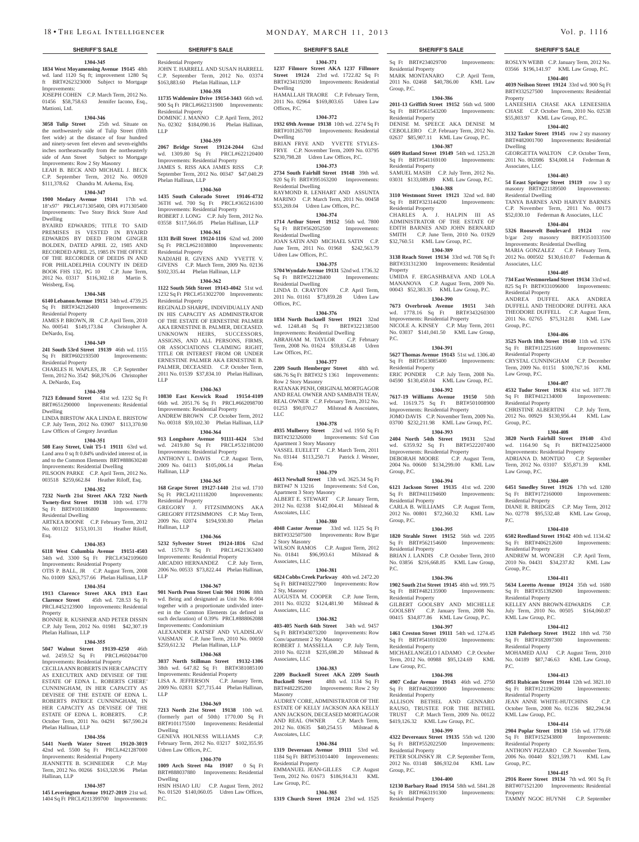# **1304-345**

**1834 West Moyamensing Avenue 19145** 48th wd. land 1120 Sq ft; improvement 1280 Sq ft BRT#262323000 Subject to Mortgage Improvements: JOSEPH COHEN C.P. March Term, 2012 No. 01456 \$58,758.63 Jennifer Iacono, Esq.,

Mattioni, Ltd.

**1304-346 3058 Tulip Street** 25th wd. Situate on the northwesterly side of Tulip Street (fifth feet wide) at the distance of four hundred and ninety-seven feet eleven and seven-eighths inches northeastwardly from the northeasterly

side of Ann Street Subject to Mortgage Improvements: Row 2 Sty Masonry LEAH B. BECK AND MICHAEL J. BECK C.P. September Term, 2012 No. 00920

### \$111,378.62 Chandra M. Arkema, Esq. **1304-347**

**1900 Medary Avenue 19141** 17th wd. 18'x97' PRCL#171305400, OPA #171305400 Improvements: Two Story Brick Store And Dwelling

BYAIRD EDWARDS; TITLE TO SAID PREMISES IS VESTED IN BYAIRD EDWARDS BY DEED FROM GINGER BOLDEN, DATED APRIL 22, 1985 AND RECORDED APRIL 25, 1985 IN THE OFFICE OF THE RECORDER OF DEEDS IN AND FOR PHILADELPHIA COUNTY IN DEED BOOK FHS 132, PG 10 C.P. June Term, 2012 No. 03317 \$116,302.18 Martin S. Weisberg, Esq.

### **1304-348**

**6140 Lebanon Avenue 19151** 34th wd. 4739.25 Sq Ft BRT#342126400 Improvements: Residential Property

JAMES P. BROWN, JR C.P. April Term, 2010 No. 000541 \$149,173.84 Christopher A. DeNardo, Esq.

### **1304-349**

**241 South 53rd Street 19139** 46th wd. 1155<br>
Sq Ft BRT#602193500 Improvements: Sq Ft BRT#602193500 Residential Property

CHARLES H. WAPLES, JR C.P. September Term, 2012 No. 3542 \$68,376.06 Christopher A. DeNardo, Esq.

### **1304-350**

**7123 Edmund Street** 41st wd. 1232 Sq Ft BRT#651290000 Improvements: Residential Dwelling

LINDA BIRSTOW AKA LINDA E. BRISTOW C.P. July Term, 2012 No. 03907 \$113,370.90 Law Offices of Gregory Javardian

# **1304-351**

**508 Easy Street, Unit T5-1 19111** 63rd wd. Land area 0 sq ft 0.84% undivided interest of, in and to the Common Elements BRT#888630240 Improvements: Residential Dwelling

PILSOON PARKE C.P. April Term, 2012 No. 003518 \$259,662.84 Heather Riloff, Esq. **1304-352**

### **7232 North 21st Street AKA 7232 North Twnety-first Street 19138** 10th wd. 1770 Sq Ft BRT#101186800 Improvements:

Residential Dwelling ARTKEA BOONE C.P. February Term, 2012

No. 001122 \$153,101.31 Heather Riloff, Esq.

# **1304-353**

**6118 West Columbia Avenue 19151-4503**  34th wd. 3300 Sq Ft PRCL#342109600 Improvements: Residential Property OTIS P. BALL, JR C.P. August Term, 2008 No. 01009 \$263,757.66 Phelan Hallinan, LLP

### **1304-354**

**1913 Clarence Street AKA 1913 East Clarence Street** 45th wd. 728.53 Sq Ft PRCL#452123900 Improvements: Residential Property

BONNIE R. KUSHNER AND PETER DISSIN C.P. July Term, 2012 No. 01981 \$42,307.19 Phelan Hallinan, LLP

### **1304-355**

**5047 Walnut Street 19139-4250** 46th wd. 2459.52 Sq Ft PRCL#602044700 Improvements: Residential Property CECILIA ANN ROBERTS IN HER CAPACITY AS EXECUTRIX AND DEVISEE OF THE ESTATE OF EDNA L. ROBERTS CHERE' CUNNINGHAM, IN HER CAPACITY AS DEVISEE OF THE ESTATE OF EDNA L. PATRICE CUNNINGHAM HER CAPACITY AS DEVISEE OF THE ESTATE OF EDNA L. ROBERTS. C.P. October Term, 2011 No. 04291 \$67,590.24 Phelan Hallinan, LLP

# **1304-356**

**5441 North Water Street 19120-3019**  42nd wd. 5500 Sq Ft PRCL#421287000 Improvements: Residential Property<br>JEANNETTE B. SCHNEIDER C.P. May JEANNETTE B. SCHNEIDER Term, 2012 No. 00266 \$163,320.96 Phelan

### **1304-357**

Hallinan, LLP

**145 Leverington Avenue 19127-2019** 21st wd. 1404 Sq Ft PRCL#211399700 Improvements: Residential Property JOHN T. HARRELL AND SUSAN HARRELL **1237 Filmore Street AKA 1237 Fillmore**  C.P. September Term, 2012 No. 03374 \$163,883.60 Phelan Hallinan, LLP

**1304-358 11735 Waldemire Drive 19154-3443** 66th wd. 900 Sq Ft PRCL#662131900 Improvements: Residential Property DOMINIC J. MANNO C.P. April Term, 2012 No. 02302 \$184,090.16 Phelan Hallinan, LLP

### **1304-359**

**2067 Bridge Street 19124-2044** 62nd wd. 1309.80 Sq Ft PRCL#622120400 Improvements: Residential Property JAMES S. RISS AKA JAMES RISS September Term, 2012 No. 00347 \$47,040.29 Phelan Hallinan, LLP

### **1304-360**

**1435 South Colorado Street 19146-4732**  36TH wd. 700 Sq Ft PRCL#365216100 Improvements: Residential Property ROBERT J. LONG C.P. July Term, 2012 No. 03558 \$117,566.05 Phelan Hallinan, LLP

### **1304-361**

**1131 Brill Street 19124-1116** 62nd wd. 2000 Sq Ft PRCL#621038800 Improvements: Residential Property NADJAHI R. GIVENS AND YVETTE V. GIVENS C.P. March Term, 2009 No. 02136 \$102,335.44 Phelan Hallinan, LLP

**1304-362**

**1122 South 56th Street 19143-4042** 51st wd. 1232 Sq Ft PRCL#513022700 Improvements: Residential Property REGINALD SHARPE, INDIVIDUALLY AND IN HIS CAPACITY AS ADMINISTRATOR OF THE ESTATE OF ERNESTINE PALMER AKA ERNESTINE B. PALMER, DECEASED. UNKNOWN HEIRS, SUCCESSORS, ASSIGNS, AND ALL PERSONS, FIRMS, OR ASSOCIATIONS CLAIMING RIGHT, TITLE OR INTEREST FROM OR UNDER ERNESTINE PALMER AKA ERNESTINE B. PALMER, DECEASED. C.P. October Term, 2011 No. 01539 \$37,834.10 Phelan Hallinan, LLP

### **1304-363**

**10830 East Keswick Road 19154-4109**  66th wd. 2051.76 Sq Ft PRCL#662098700 Improvements: Residential Property ANDREW BROWN C.P. October Term, 2012 No. 00318 \$59,102.30 Phelan Hallinan, LLP

### **1304-364 913 Longshore Avenue 91111-4424** 53rd wd. 2419.80 Sq Ft PRCL#532180200

Improvements: Residential Property ANTHONY L. DAVIS C.P. August Term, 2009 No. 04113 \$105,006.14 Phelan Hallinan, LLP

### **1304-365**

**168 Grape Street 19127-1440** 21st wd. 1710 Sq Ft PRCL#211118200 Improvements: Residential Property<br>GREGORY J. FITZSIMMONS AKA GREGORY FITZSIMMONS C.P. May Term, 2009 No. 02074 \$194,930.80 Phelan Hallinan, LLP

### **1304-366**

**5232 Sylvester Street 19124-1816** 62nd wd. 1570.78 Sq Ft Improvements: Residential Property ARCADIO HERNANDEZ C.P. July Term, 2006 No. 00533 \$73,822.44 Phelan Hallinan, LLP

### **1304-367**

**901 North Penn Street Unit 904 19106** 88th wd. Being and designated as Unit No. R-904 together with a proportionate undivided interest in the Common Elements (as defined in such declaration) of 0.39% PRCL#888062088

Improvements: Condominium ALEXANDER KATSEF AND VLADISLAV VAISMAN C.P. June Term, 2010 No. 00050 \$259,612.32 Phelan Hallinan, LLP

### **1304-368**

**3037 North Stillman Street 19132-1306**  38th wd. 647.82 Sq Ft BRT#381085100 Improvements: Residential Property LISA A. JEFFERSON C.P. January Term, 2009 No. 02831 \$27,715.44 Phelan Hallinan, LLP

### **1304-369**

**7213 North 21st Street 19138** 10th wd. (formerly part of 50th) 1770.00 Sq Ft BRT#101175500 Improvements: Residential Dwelling GENEVA HOLNESS WILLIAMS C.P. February Term, 2012 No. 03217 \$102,355.95 Udren Law Offices, P.C.

### **1304-370**

**1009 Arch Street #4a 19107** 0 Sq Ft BRT#888037880 Improvements: Residential Dwelling HSIN HSIAO LIU C.P. August Term, 2012

No. 01520 \$140,060.05 Udren Law Offices, P.C.

# **SHERIFF'S SALE SHERIFF'S SALE SHERIFF'S SALE SHERIFF'S SALE SHERIFF'S SALE**

Sq Ft BRT#234029700 Improvements:

ROSLYN WEBB C.P. January Term, 2012 No. 03566 \$196,141.97 KML Law Group, P.C. **1304-401 4039 Neilson Street 19124** 33rd wd. 900 Sq Ft BRT#332527500 Improvements: Residential

LANEESHIA CHASE AKA LENEESHIA CHASE C.P. October Term, 2010 No. 02538 \$55,803.97 KML Law Group, P.C. **1304-402 3132 Tasker Street 19145** row 2 sty masonry BRT#482001700 Improvements: Residential

GEORGETTA WALTON C.P. October Term, 2011 No. 002086 \$34,008.14 Federman &

**1304-403 54 Eeast Springer Street 19119** row 3 sty masonry BRT#221189500 Improvements:

TANYA BARNES AND HARVEY BARNES C.P. November Term, 2011 No. 00173 \$52,030.10 Federman & Associates, LLC **1304-404 5326 Roosevelt Boulevard 19124** row b/gar 2sty masonry BRT#351033500 Improvements: Residential Dwelling MARIA GONZALEZ C.P. February Term, 2012 No. 000502 \$130,610.07 Federman &

**1304-405 734 East Westmoreland Street 19134** 33rd wd. 825 Sq Ft BRT#331096000 Improvements:

ANDREA DUFFEL AKA ANDREA DUFFELL AND THEODORE DUFFEL AKA THEODORE DUFFELL C.P. August Term, 2011 No. 02765 \$75,312.81 KML Law

**1304-406 3525 North 18th Street 19140** 11th wd. 1576 Sq Ft BRT#112251600 Improvements:

CRYSTAL CUNNINGHAM C.P. December Term, 2009 No. 01151 \$100,767.16 KML

**1304-407 4532 Tudor Street 19136** 41st wd. 1077.78 Sq Ft BRT#412134000 Improvements:

CHRISTINE ALBERTINI C.P. July Term, 2012 No. 00929 \$130,956.44 KML Law

**1304-408 3820 North Fairhill Street 19140** 43rd wd. 1164.90 Sq Ft BRT#432254000 Improvements: Residential Property ADRIANA D. MONTIJO C.P. September Term, 2012 No. 03107 \$35,871.39 KML

**1304-409 6451 Smedley Street 19126** 17th wd. 1280 Sq Ft BRT#172160000 Improvements:

DIANE R. BRIDGES C.P. May Term, 2012 No. 02778 \$95,532.48 KML Law Group,

**1304-410 6502 Reedland Street 19142** 40th wd. 1134.42<br>
Sq Ft BRT#406212600 Improvements:

ANDREW M. WONGEH C.P. April Term, 2010 No. 04431 \$34,237.82 KML Law

**1304-411 5634 Loretto Avenue 19124** 35th wd. 1680 Sq Ft BRT#351392900 Improvements:

KELLEY ANN BROWN-EDWARDS C.P. July Term, 2010 No. 00505 \$164,060.87

**1304-412 1328 Palethorp Street 19122** 18th wd. 750 Sq Ft BRT#182097300 Improvements:

MOHAMED AJAJ C.P. August Term, 2010 No. 04189 \$87,746.63 KML Law Group,

**1304-413 4951 Rubicam Street 19144** 12th wd. 3821.10 Sq Ft BRT#121196200 Improvements:

**1304-414 2904 Poplar Street 19130** 15th wd. 1779.68 Sq Ft BRT#152343800 Improvements:

ANTHONY PIZZARO C.P. November Term, 2006 No. 00440 \$321,599.71 KML Law

**1304-415 2916 Rorer Street 19134** 7th wd. 901 Sq Ft BRT#071521200 Improvements: Residential

TAMMY NGOC HUYNH C.P. September

JEAN ANNE WHITE-HUTCHINS October Term, 2008 No. 01236 \$82,294.94

Property

Dwelling

Associates, LLC

Residential Dwelling

Associates, LLC

Residential Property

Residential Property

Residential Property

Group, P.C.

Law Group, P.C.

Residential Property

Sq Ft BRT#406212600 Residential Property

P.C.

Group, P.C.

Residential Property

KML Law Group, P.C.

Residential Property

Residential Property

KML Law Group, P.C.

Residential Property

Group, P.C.

Property

P.C.

Law Group, P.C.

Group, P.C.

2011 No. 02468 \$40,786.00 KML Law

**1304-386 2011-13 Griffith Street 19152** 56th wd. 5000

DENISE M. SPEECE AKA DENISE M CEBOLLERO C.P. February Term, 2012 No. 02637 \$85,907.11 KML Law Group, P.C. **1304-387 6609 Rutland Street 19149** 54th wd. 1253.28 Sq Ft BRT#541169100 Improvements:

SAMUEL MASIH C.P. July Term, 2012 No. 03031 \$133,089.89 KML Law Group, P.C. **1304-388 3110 Westmont Street 19121** 32nd wd. 840 Sq Ft BRT#323144200 Improvements:

CHARLES A. J. HALPIN III AS ADMINISTRATOR OF THE ESTATE OF EDITH BARNES AND JOHN BERNARD SMITH C.P. June Term, 2010 No. 01929 \$32,760.51 KML Law Group, P.C. **1304-389 3138 Reach Street 19134** 33rd wd. 708 Sq Ft BRT#331312300 Improvements: Residential

UMIDA F. ERGASHBAEVA AND LOLA MANANOVA C.P. August Term, 2009 No. 00043 \$52,383.35 KML Law Group, P.C. **1304-390 7673 Overbrook Avenue 19151** 34th wd. 1778.16 Sq Ft BRT#343260300 Improvements: Residential Property NICOLE A. KINSEY C.P. May Term, 2011 No. 03037 \$141,041.50 KML Law Group,

**1304-391 5627 Thomas Avenue 19143 51st wd. 1306.40**<br>Sq. Ft. **BRT#513085400** Improvements:

ERIC PONDER C.P. July Term, 2008 No. 04590 \$130,450.04 KML Law Group, P.C. **1304-392 7617-19 Williams Avenue 19150** 50th wd. 11619.75 Sq Ft BRT#501008900 Improvements: Residential Property JOMO DAVIS C.P. November Term, 2009 No. 03700 \$232,211.98 KML Law Group, P.C. **1304-393 2404 North 54th Street 19131** 52nd wd. 6359.92 Sq Ft BRT#522207400 Improvements: Residential Property DEBORAH MOORE C.P. August Term, 2004 No. 00600 \$134,299.00 KML Law

**1304-394 6121 Jackson Street 19135** 41st wd. 2200 Sq Ft BRT#411194600 Improvements:

CARLA B. WILLIAMS C.P. August Term, 2012 No. 00801 \$72,360.32 KML Law

**1304-395 1820 Strahle Street 19152** 56th wd. 2205<br>
Sq Ft BRT#562154600 Improvements:

BRIAN J. LANDIS C.P. October Term, 2010 No. 03856 \$216,668.85 KML Law Group,

**1304-396 1902 South 21st Street 19145** 48th wd. 999.75 Sq Ft BRT#482135900 Improvements:

GILBERT GOOLSBY AND MICHELLE GOOLSBY C.P. January Term, 2008 No. 00415 \$34,877.86 KML Law Group, P.C. **1304-397 1461 Creston Street 19111** 54th wd. 1274.45 Sq Ft BRT#541010200 Improvements:

MICHAELANGELO I ADAMO C.P. October Term, 2012 No. 00988 \$95,124.69 KML

**1304-398 4907 Cedar Avenue 19143** 46th wd. 2750 Sq Ft BRT#462039900 Improvements:

ALLISON BETHEL AND GENNARO RAUSO, TRUSTEE FOR THE BETHEL TRUST C.P. March Term, 2009 No. 00122 \$419,126.32 KML Law Group, P.C. **1304-399 4322 Devereaux Street 19135** 55th wd. 1200<br>
Sq Ft BRT#552022500 Improvements:

PETER SOLINSKY JR C.P. September Term, 2012 No. 03148 \$86,932.04 KML Law

**1304-400 12130 Barbary Road 19154** 58th wd. 5841.28 Sq Ft BRT#663191300 Improvements:

Sq Ft BRT#513085400 Residential Property

Group, P.C.

Sq Ft BRT#561543200 Residential Property

Residential Property

Residential Property

**Property** 

P.C.

Group, P.C.

Group, P.C.

P.C.

Residential Property

Sq Ft BRT#562154600 Residential Property

Residential Property

Residential Property

Law Group, P.C.

Residential Property<br>ALLISON BETHI

Sq Ft BRT#552022500 Residential Property

Group, P.C.

Residential Property

**1304-371 Street 19124** 23rd wd. 1722.82 Sq Ft BRT#234119200 Improvements: Residential Dwelling HAMALLAH TRAORE C.P. February Term, Residential Property MARK MONTANARO C.P. April Term,

2011 No. 02964 \$169,803.65 Udren Law Offices, P.C.

# **1304-372**

**1932 69th Avenue 19138** 10th wd. 2274 Sq Ft BRT#101265700 Improvements: Residential Dwelling BRIAN FRYE AND YVETTE STYLES-

FRYE C.P. November Term, 2009 No. 03795 \$230,798.28 Udren Law Offices, P.C. **1304-373**

**2734 South Fairhill Street 19148** 39th wd. 920 Sq Ft BRT#395163200 Improvements: Residential Dwelling

RAYMOND R. LENHART AND ASSUNTA MARINO C.P. March Term, 2011 No. 00458 \$53,269.04 Udren Law Offices, P.C.

### **1304-374**

**1714 Arthur Street 19152** 56th wd. 7800 Sq Ft BRT#562052500 Residential Dwelling JOAN SATIN AND MICHAEL SATIN C.P.

June Term, 2011 No. 01968 \$242,563.79 Udren Law Offices, P.C. **1304-375**

### **5704 Wyndale Avenue 19131** 52nd wd. 1736.32

Sq Ft BRT#522128400 Improvements: Residential Dwelling LINDA D. CRAYTON C.P. April Term, 2011 No. 01161 \$73,859.28 Udren Law Offices, P.C.

### **1304-376**

**1834 North Bucknell Street 19121** 32nd wd. 1248.48 Sq Ft BRT#322138500 Improvements: Residential Dwelling ABRAHAM M. TAYLOR C.P. February Term, 2008 No. 01624 \$59,834.48 Udren Law Offices, P.C.

### **1304-377**

**2209 South Hemberger Street** 48th wd. 686.76 Sq Ft BRT#32 S 1361 Improvements: Row 2 Story Masonry RATANAK PENH, ORIGINAL MORTGAGOR AND REAL OWNER AND SAMBATH TEAV,

REAL OWNER C.P. February Term, 2012 No. 01253 \$90,070.27 Milstead & Asscoiates, LLC

# **1304-378**

**4935 Mulberry Street** 23rd wd. 1950 Sq Ft Improvements: S/d Con Apartment 3 Story Masonry VASSEL EUELETT C.P. March Term, 2011 No. 03144 \$113,250.71 Patrick J. Wesner, Esq.

**1304-379 4613 Newhall Street** 13th wd. 3625.34 Sq Ft BRT#47 N 13216 Improvements: S/d Con, Apartment 3 Story Masonry ALBERT E. STEWART C.P. January Term, 2012 No. 02338 \$142,004.41 Milstead & Asscoiates, LLC

# **1304-380**

**4048 Castor Avenue** 33rd wd. 1125 Sq Ft BRT#332507500 Improvements: Row B/gar 2 Story Masonry WILSON RAMOS C.P. August Term, 2012 No. 01841 \$96,993.61 Milstead & Associates, LLC

### **1304-381**

**6824 Cobbs Creek Parkway** 40th wd. 2472.20 Sq Ft BRT#403227900 Improvements: Row 2 Sty, Masonry AUGUSTA M. COOPER C.P. June Term, 2011 No. 03232 \$124,481.90 Milstead &

### **1304-382**

Associates, LLC

**403-405 North 64th Street** 34th wd. 9457 Sq Ft BRT#343073200 Improvements: Row Conv/apartment 2 Sty Masonry ROBERT J. MASSELLA C.P. July Term, 2010 No. 02218 \$235,698.20 Milstead & Associates, LLC

### **1304-383**

**2209 Bucknell Street AKA 2209 South Bucknell Street** 48th wd. 1134 Sq Ft BRT#482295200 Improvements: Row 2 Sty Masonry

AUDREY CORE, ESTATE OF KELLY JACKSON AKA KELLY ANN JACKSON, DECEASED MORTGAGOR AND REAL OWNER C.P. March Term, 2012 No. 03635 \$40,254.55 Milstead & Asscoiates, LLC

### **1304-384**

**1319 Devereaux Avenue 19111** 53rd wd. 1184 Sq Ft BRT#531014400 Improvements: Residential Property

EMMANUEL JEAN-GILLES C.P. August Term, 2012 No. 01673 \$186,914.31 KML Law Group, P.C.

### **1304-385 1319 Church Street 19124** 23rd wd. 1525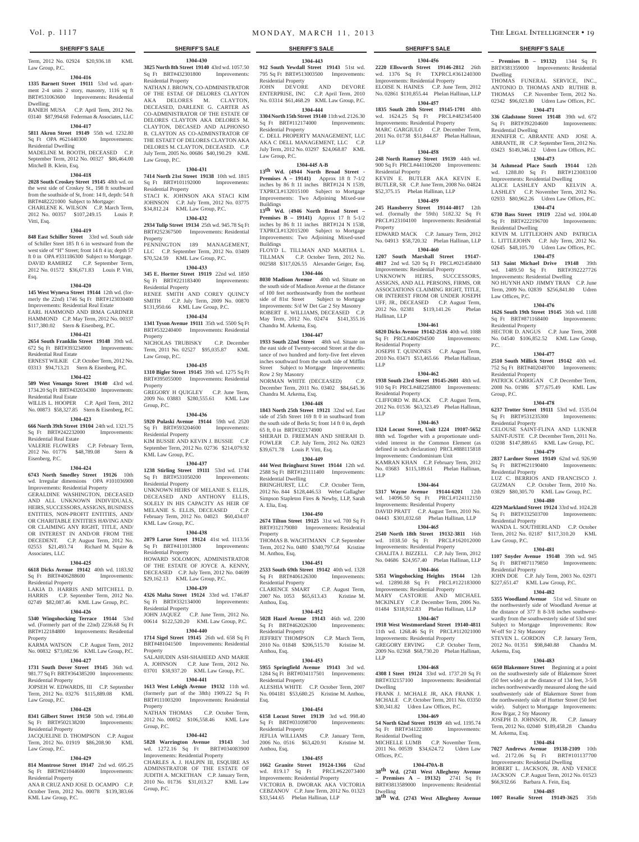### **SHERIFF'S SALE SHERIFF'S SALE SHERIFF'S SALE SHERIFF'S SALE SHERIFF'S SALE**

Term, 2012 No. 02924 \$20,936.18 KML Law Group, P.C.

### **1304-416**

**1335 Barnett Street 19111** 53rd wd. apartment 2-4 units 2 story, masonry, 1116 sq ft BRT#531063600 Improvements: Residential Dwelling;

RANIEH MUSA C.P. April Term, 2012 No. 03140 \$87,994.68 Federman & Associates, LLC

# **1304-417**

**5811 Akron Street 19149** 55th wd. 1232.80 Sq Ft OPA #621440300 Improvements: Residential Dwelling MADELINE M. BOOTH, DECEASED C.P.

September Term, 2012 No. 00327 \$86,464.00 Mitchell B. Klein, Esq.

### **1304-418**

**2028 South Croskey Street 19145** 48th wd. on the west side of Croskey St., 198 ft southward from the southside of St, front: 14 ft, depth: 54 ft BRT#482221000 Subject to Mortgage: CHARLENE K. WILSON C.P. March Term,

2012 No. 00357 \$107,249.15 Louis P. Vitti, Esq.

### **1304-419**

**848 East Schiller Street** 33rd wd. South side of Schiller Steet 185 ft 6 in westward from the west side of "H" Street; front 14 ft 4 in; depth 57 ft 0 in OPA #331186300 Subject to Mortgage. DAVID RAMIREZ C.P. September Term, 2012 No. 01572 \$36,671.83 Louis P. Vitti, Esq.

### **1304-420**

**145 West Wyneva Street 19144** 12th wd. (formerly the 22nd) 1746 Sq Ft BRT#123030400 Improvements: Residential Real Estate EARL HAMMOND AND IRMA GARDNER HAMMOND C.P. May Term, 2012 No. 00337 \$117,380.02 Stern & Eisenberg, P.C.

# **1304-421**

**2654 South Franklin Street 19148** 39th wd. 672 Sq Ft BRT#393234900 Improvements:

Residential Real Estate ERNEST WILKIE C.P. October Term, 2012 No. 03313 \$94,713.21 Stern & Eisenberg, P.C.

### **1304-422**

Residential Real Estate

Eisenberg, P.C.

**509 West Venango Street 19140** 43rd wd. 1734.20 Sq Ft BRT#432034300 Improvements: Residential Real Estate

WILLIS L. HOOPER C.P. April Term, 2012 No. 00873 \$58,327.85 Stern & Eisenberg, P.C. **1304-423**

### **666 North 39th Street 19104** 24th wd. 1321.75 Sq Ft BRT#242232000 Improvements:

VALERIE FLOWERS C.P. February Term, 2012 No. 01776 \$48,789.08 Stern & Residential Property KIM BUSSIE AND KEVIN J. BUSSIE C.P. September Term, 2012 No. 02736 \$214,079.92 KML Law Group, P.C.

Residential Property

Residential Property

Property

Property

 $G$ roup,  $PC$ .

Group, P.C.

**1304-430 3825 North 8th Street 19140** 43rd wd. 1057.50 Sq Ft BRT#432301800 Improvements:

NATHAN J. BROWN, CO-ADMINISTRATOR OF THE ESTAE OF DELORES CLAYTON AKA DELORES M. CLAYTON, DECEASED, DARLENE G. CARTER AS CO-ADMINISTRATOR OF THE ESTATE OF DELORES CLAYTON AKA DELORES M. CLAYTON, DECASED AND ALPHONSO B. CLAYTON AS CO-ADMINSTRATOR OF THE ESTAET OF DELORES CLAYTON AKA DELORES M. CLAYTON, DECEASED. C.P. July Term, 2005 No. 00686 \$40,190.29 KML

**1304-431 7414 North 21st Street 19138** 10th wd. 1815 Sq Ft BRT#101192000 Improvements:

STACI K. JOHNSON AKA STACI KIM JOHNSON C.P. July Term, 2012 No. 03775 \$34,812.24 KML Law Group, P.C. **1304-432 2934 Tulip Street 19134** 25th wd. 945.78 Sq Ft BRT#252367500 Improvements: Residential

PENNINGTON 189 MANAGEMENT LLC C.P. September Term, 2012 No. 03409 \$70,524.59 KML Law Group, P.C. **1304-433 345 E. Hortter Street 19119** 22nd wd. 1850 Sq Ft BRT#221183400 Improvements:

RENEE SMITH AND COREY QUINCY SMITH C.P. July Term, 2009 No. 00870 \$131,950.66 KML Law Group, P.C. **1304-434 1341 Tyson Avenue 19111** 35th wd. 5500 Sq Ft BRT#532240400 Improvements: Residential

NICHOLAS TRUBISKY C.P. December Term, 2011 No. 02527 \$95,035.87 KML

**1304-435 1310 Bigler Street 19145** 39th wd. 1275 Sq Ft BRT#395055000 Improvements: Residential

GREGORY H QUIGLEY C.P. June Term, 2009 No. 03883 \$280,555.61 KML Law

**1304-436 5920 Pulaski Avenue 19144** 59th wd. 2520 Sq Ft BRT#593204600 Improvements:

**1304-437**

**1304-438**

HOWARD SOLOMON, ADMINISTRATOR OF THE ESTATE OF JOYCE A. KENNY, DECEASED C.P. July Term, 2012 No. 04699 \$29,162.13 KML Law Group, P.C. **1304-439 4326 Malta Street 19124** 33rd wd. 1746.87 Sq Ft BRT#332134000 Improvements:

JOHN JAQUEZ C.P. June Term, 2012 No. 00614 \$122,520.20 KML Law Group, P.C. **1304-440 1714 Sigel Street 19145** 26th wd. 658 Sq Ft BRT#481041500 Improvements: Residential

SALAHUDIN ASH-SHAHEED AND MARIE A. JOHNSON C.P. June Term, 2012 No. 03701 \$38,937.20 KML Law Group, P.C. **1304-441 1613 West Lehigh Avenue 19132** 11th wd. (formerly part of the 38th) 1909.22 Sq Ft BRT#111003200 Improvements: Residential

NATHAN THOMAS C.P. October Term, 2012 No. 00052 \$106,558.46 KML Law

**1304-442 5828 Warrington Avenue 19143** 3rd wd. 1272.16 Sq Ft BRT#034083900 Improvements: Residential Property CHARLES A. J. HALPIN III, ESQUIRE AS ADMINSTRATOR OF THE ESTATE OF JUDITH A. MCKETHAN C.P. January Term, 2010 No. 01736 \$31,013.27 KML Law

Residential Property

Law Group, P.C.

Residential Property

Residential Property

Property

Property

Property

Group, P.C.

Law Group, P.C.

**1304-424 6743 North Smedley Street 19126** 10th wd. Irregular dimensions OPA #101036900 Improvements: Residential Property GERALDINE WASHINGTON, DECEASED AND ALL UNKNOWN INDIVIDUALS, HEIRS, SUCCESSORS, ASSIGNS, BUSINESS ENTITIES, NON-PROFIT ENTITIES, AND/ OR CHARITABLE ENTITIES HAVING AND/ OR CLAIMING ANY RIGHT, TITLE, AND/ OR INTEREST IN AND/OR FROM THE DECEDENT. C.P. August Term, 2012 No. 02553 \$21,493.74 Richard M. Squire & **1238 Stirling Street 19111** 53rd wd. 1744 Sq Ft BRT#531050200 Improvements: Residential Property UNKNOWN HEIRS OF MELANIE S. ELLIS, DECEASED AND ANTHONY ELLIS, SOLELY IN HIS CAPACITY AS HEIR OF MELANIE S. ELLIS, DECEASED C.P. February Term, 2012 No. 04023 \$60,434.07 KML Law Group, P.C. **2079 Larue Street 19124** 41st wd. 1113.56 Sq Ft BRT#411013800 Improvements:

### **1304-425**

Associates, LLC

**6618 Dicks Avenue 19142** 40th wd. 1183.92 Sq Ft BRT#406288600 Improvements: Residential Property LAKIA D. HARRIS AND MITCHELL D.

### HARRIS C.P. September Term, 2012 No. 02749 \$82,087.46 KML Law Group, P.C.

### **1304-426**

**5340 Wingohocking Terrace 19144** 53rd wd. (Formerly part of the 22nd) 2236.68 Sq Ft BRT#122184800 Improvements: Residential

Property KARMA WATSON C.P. August Term, 2012 No. 00832 \$73,082.96 KML Law Group, P.C.

# **1304-427**

**1731 South Dover Street 19145** 36th wd. 981.77 Sq Ft BRT#364385200 Improvements: Residential Property

# JOPSEH W. EDWARDS, III C.P. September Term, 2012 No. 03276 \$115,889.08 KML

Law Group, P.C. **1304-428**

# **8341 Gilbert Street 19150** 50th wd. 1984.40

Sq Ft BRT#502138200 Improvements: Residential Property JACQUELINE D. THOMPSON C.P. August

### Term, 2012 No. 01919 \$86,208.90 KML Law Group, P.C.

# **1304-429**

**814 Montrose Street 19147** 2nd wd. 695.25 Sq Ft BRT#021044600 Improvements: Residential Property

ANA R CRUZ AND JOSE D. OCAMPO C.P. October Term, 2012 No. 00078 \$139,383.66 KML Law Group, P.C.

**1304-443 912 South Yewdall Street 19143** 51st wd. 795 Sq Ft BRT#513003500 Improvements: Residential Property JOHN DEVORE AND DEVORE

ENTERPRISE, INC C.P. April Term, 2010 No. 03314 \$61,468.29 KML Law Group, P.C. **1304-444**

### **3304 North 15th Street 19140** 11th wd. 2126.30 Sq Ft BRT#112174000 Improvements:

Residential Property C. DELL PROPERTY MANAGEMENT, LLC AKA C DELL MANAGEMENT, LLC C.P. July Term, 2012 No. 03297 \$24,068.87 KML Law Group, P.C.

### **1304-445 A-B**

**13th Wd. (4944 North Broad Street - Premises A – 19141)** Approx 18 ft 7-1/2 inches by 86 ft 11 inches BRT#124 N 1539, TXPRCL#132015100 Subject to Mortgage Improvements: Two Adjoining Mixed-use Buildings

**13th Wd.** (**4946 North Broad Street – Premises B – 19141)** Approx 17 ft 5-1/2 inches by 86 ft 11 inches BRT#124 N 1538, TXPRCL#132015200 Subject to Mortgage Improvements: Two Adjoining Mixed-used Buildings

FLOYD L. TILLMAN AND MARTHA L. TILLMAN C.P. October Term, 2012 No. 002588 \$317,026.55 Alexander Geiger, Esq. **1304-446**

**8030 Madison Avenue** 40th wd. Situate on the south side of Madison Avenue at the distance of 100 feet northeastwardly from the northeast side of 81st Street Subject to Mortgage Improvements: S/d W Det Gar 2 Sty Masonry ROBERT E. WILLIAMS, DECEASED C.P. May Term, 2012 No. 02474 \$141,355.16 Chandra M. Arkema, Esq.

### **1304-447**

**1933 South 22nd Street** 48th wd. Situate on the east side of Twenty-second Street at the distance of two hundred and forty-five feet eleven inches southward from the south side of Mifflin Street Subject to Mortgage Improvements: Row 2 Sty Masonry NORMAN WHITE (DECEASED) C.P. December Term, 2011 No. 03402 \$84,645.36 Chandra M. Arkema, Esq.

### **1304-448**

**1843 North 25th Street 19121** 32nd wd. East side of 25th Street 169 ft 0 in southward from the south side of Berks St; front 14 ft 0 in, depth 65 ft, 0 in BRT#322174900 SHERAH D. FREEMAN AND SHERAH D. FOWLER C.P. July Term, 2012 No. 02823 \$39,671.78 Louis P. Vitti, Esq.

### **1304-449**

**444 West Bringhurst Street 19144** 12th wd. 2588 Sq Ft BRT#123111400 Improvements: Residential Dwelling BRINGHURST, LLC C.P. October Term, 2012 No. 844 \$128,446.53 Weber Gallagher Simpson Stapleton Fires & Newby, LLP, Sarah

### A. Elia, Esq. **1304-450**

**2674 Tilton Street 19125** 31st wd. 700 Sq Ft BRT#312179080 Improvements: Residential Property THOMAS B. WACHTMANN C.P. September

Term, 2012 No. 0480 \$340,797.64 Kristine M. Anthou, Esq.

### **1304-451**

**2533 South 69th Street 19142** 40th wd. 1328 Sq Ft BRT#406126300 Residential Property CLARENCE SMART C.P. August Term, 2007 No. 1053 \$65,613.43 Kristine M. Anthou, Esq.

### **1304-452**

**5028 Hazel Avenue 19143** 46th wd. 2200 Sq Ft BRT#462026300 Improvements: Residential Property JEFFREY THOMPSON C.P. March Term, 2010 No. 01848 \$206,515.70 Kristine M.

# Anthou, Esq.

**1304-453 5955 Springfield Avenue 19143** 3rd wd. 1284 Sq Ft BRT#034117501 Improvements: Residential Property ALESHIA WHITE C.P. October Term, 2007 No. 004181 \$53,680.25 Kristine M. Anthou, Esq.

### **1304-454**

**6158 Locust Street 19139** 3rd wd. 998.40 Sq Ft BRT#031098700 Improvements: Residential Property JEFLIA WILLIAMS C.P. January Term, 2006 No. 0516 \$63,420.91 Kristine M. Anthou, Esq.

### **1304-455**

**1662 Granite Street 19124-1366** 62nd wd.  $819.17$  Sq Ft Improvements: Residential Property VICTORIA B. DWORAK AKA VICTORIA CEBZANOV C.P. June Term, 2012 No. 01323 \$33,544.65 Phelan Hallinan, LLP

**– Premises B – 19132)** 1344 Sq Ft BRT#381359000 Improvements: Residential

THOMAS FUNERAL SERVICE, INC. ANTONIO D. THOMAS AND RUTHIE B. THOMAS C.P. November Term, 2012 No. 02342 \$96,023.80 Udren Law Offices, P.C. **1304-471 336 Gladstone Street 19148** 39th wd. 672 Sq Ft BRT#392204600 Improvements:

JENNIFER C. ABRANTE AND JOSE A. ABRANTE, JR C.P. September Term, 2012 No. 03423 \$149,346.12 Udren Law Offices, P.C. **1304-473 34 Ashmead Place South 19144** 12th wd. 1288.80 Sq Ft BRT#123083100 Improvements: Residential Dwelling ALICE LASHLEY AND KELVIN A. LASHLEY C.P. November Term, 2012 No. 02933 \$80,962.26 Udren Law Offices, P.C. **1304-474 6730 Bass Street 19119** 22nd wd. 1004.40 Sq Ft BRT#222196700 Improvements:

KEVIN M. LITTLEJOHN AND PATRICIA L. LITTLEJOHN C.P. July Term, 2012 No. 02645 \$48,105.70 Udren Law Offices, P.C. **1304-475 513 Saint Michael Drive 19148** 39th wd. 1489.50 Sq Ft BRT#392227726 Improvements: Residential Dwelling NO HUYNH AND JIMMY TRAN C.P. June Term, 2009 No. 02839 \$256,841.80 Udren

**1304-476 1626 South 19th Street 19145** 36th wd. 1188 Sq Ft BRT#871168400 Improvements:

HECTOR D. ANGUS C.P. June Term, 2008 No. 04540 \$106,852.52 KML Law Group,

**1304-477 2510 South Millick Street 19142** 40th wd. 752 Sq Ft BRT#402049700 Improvements:

PATRICK CARRIGAN C.P. December Term, 2008 No. 01986 \$77,675.49 KML Law

**1304-478 6237 Trotter Street 19111** 53rd wd. 1535.04 Sq Ft BRT#531235300 Improvements:

CELOUSE SAINT-FLINA AND LUKNER SAINT-JUSTE C.P. December Term, 2011 No. 03208 \$147,889.65 KML Law Group, P.C. **1304-479 2837 Lardner Street 19149** 62nd wd. 926.90 Sq Ft BRT#621190400 Improvements:

LUZ C. BERRIOS AND FRANCISCO J. GUZMAN C.P. October Term, 2010 No. 03829 \$80,305.70 KML Law Group, P.C. **1304-480 4229 Markland Street 19124** 33rd wd. 1024.28 Sq Ft BRT#332503700 Improvements:

WANDA L. SOUTHERLAND C.P. October Term, 2012 No. 02187 \$117,310.20 KML

**1304-481 1107 Snyder Avenue 19148** 39th wd. 945 Sq Ft BRT#871179850 Improvements:

JOHN DOE C.P. July Term, 2003 No. 02971 \$227,651.47 KML Law Group, P.C. **1304-482 5355 Woodland Avenue** 51st wd. Situate on the northwesterly side of Woodland Avenue at the distance of 377 ft 8-3/8 inches southwestwardly from the southwesterly side of 53rd stret Subject to Mortgage Improvements: Row

STEVEN L. GORDON C.P. January Term, 2012 No. 01351 \$98,840.88 Chandra M.

**1304-483 6650 Blakemore Street** Beginning at a point on the southwesterly side of Blakemore Street (50 feet wide) at the distance of 134 feet, 3-5/8 inches northwestwardly measured along the said southwesterly side of Blakemore Street from the northwesterly side of Hortter Street (50 feet wide). Subject to Mortgage Improvements:

JOSEPH D. JOHNSON, JR. C.P. January Term, 2012 No. 02040 \$189,458.28 Chandra

**1304-484 7027 Andrews Avenue 19138-2109** 10th wd. 2172.06 Sq Ft BRT#101137700 Improvements: Residential Dwelling ROBERT L. JACKSON, JR. AND VENICE JACKSON C.P. August Term, 2012 No. 01523 \$66,932.66 Barbara A. Fein, Esq.

**1304-485 1007 Rosalie Street 19149-3625** 35th

Dwelling

Residential Dwelling

Residential Dwelling

Law Offices, P.C.

Residential Property

Residential Property

Residential Property

Residential Property

Residential Property

Law Group, P.C.

Residential Property

W-off Str 2 Sty Masonry

Row B/gar, 2 Sty Masonry

M. Arkema, Esq.

Arkema, Esq.

Group, P.C.

P.C.

**1304-456 2220 Ellsworth Street 19146-2812** 26th wd. 1376 Sq Ft TXPRCL#361240300 Improvements: Residential Property ELOISE N. HAINES C.P. June Term, 2012 No. 02861 \$110,855.44 Phelan Hallinan, LLP

### **1304-457 1835 South 28th Street 19145-1701** 48th

wd. 1624.25 Sq Ft PRCL#482345400 Improvements: Residential Property MARC GARGIULO C.P. December Term, 2011 No. 01738 \$51,844.87 Phelan Hallinan, LLP

### **1304-458**

**248 North Ramsey Street 19139** 44th wd. 900 Sq Ft PRCL#441106200 Improvements: Residential Property KEVIN E. BUTLER AKA KEVIN E. BUTLER, SR C.P. June Term, 2008 No. 04824 \$52,375.15 Phelan Hallinan, LLP

### **1304-459 245 Hansberry Street 19144-4017** 12th

wd. (formally the 59th) 5182.32 Sq Ft PRCL#123104100 Improvements: Residential Property EDWARD MACK C.P. January Term, 2012

No. 04913 \$58,720.32 Phelan Hallinan, LLP **1304-460**

### **1207 South Marshall Street 19147- 4817** 2nd wd. 520 Sq Ft PRCL#021458400 Improvements: Residential Property UNKNOWN HEIRS, SUCCESSORS, ASSIGNS, AND ALL PERSONS, FIRMS, OR ASSOCIATIONS CLAIMING RIGHT, TITLE, OR INTEREST FROM OR UNDER JOSEPH UFF, JR., DECEASED C.P. August Term,<br>2012 No. 02381 \$119.141.26 Phelan 2012 No. 02381 \$119,141.26 Hallinan, LLP

# **1304-461**

**6820 Dicks Avenue 19142-2516** 40th wd. 1088 Sq Ft PRCL#406294500 Improvements: Residential Property JOSEPH T. QUINONES C.P. August Term,

2010 No. 03471 \$53,465.66 Phelan Hallinan, LLP

# **1304-462**

**1938 South 23rd Street 19145-2601** 48th wd. 910 Sq Ft PRCL#482258800 Improvements: Residential Property CLIFFORD W. BLACK C.P. August Term,

2012 No. 01536 \$63,323.49 Phelan Hallinan, LLP

# **1304-463**

**1324 Locust Street, Unit 1224 19107-5652**  88th wd. Together with a proportionate undivided interest in the Common Element (as defined in such declaration) PRCL#888115818 Improvements: Condominium Unit KAMRAN KHAN C.P. February Term, 2012 No. 03683 \$115,189.61 Phelan Hallinan, LLP

### **1304-464**

**5317 Wayne Avenue 19144-6201** 12th wd. 14096.50 Sq Ft PRCL#124112150 Improvements: Residential Property DAVID PRATT C.P. August Term, 2010 No.

04443 \$301,032.68 Phelan Hallinan, LLP **1304-465 2540 North 18th Street 19132-3811** 16th

wd. 1038.50 Sq Ft PRCL#162012000 Improvements: Residential Property CHALITA J. BIZZELL C.P. July Term, 2012 No. 04686 \$24,957.40 Phelan Hallinan, LLP

# **1304-466**

**5351 Wingohocking Heights 19144** 12th wd. 12890.88 Sq Ft PRCL#122183000 Improvements: Residential Property MARY CASTORIE AND MICHAEL MCKINLEY C.P. December Term, 2006 No. 01484 \$318,912.83 Phelan Hallinan, LLP **1304-467**

**1918 West Westmoreland Street 19140-4811**  11th wd. 1268.46 Sq Ft PRCL#112021000 Improvements: Residential Property GREGORY ERVING C.P. October Term, 2009 No. 02368 \$68,730.20 Phelan Hallinan, LLP

BRT#332157100 Improvements: Residential

FRANK J. MCHALE JR, AKA FRANK J. MCHALE C.P. October Term, 2011 No. 03350 \$30,341.82 Udren Law Offices, P.C. **1304-469 54 North 62nd Street 19139** 4th wd. 1195.74 Sq Ft BRT#341221800 Improvements:

MICHELLE LUMB C.P. November Term, 2011 No. 00539 \$34,624.72 Udren Law

**1304-470A-B 38th Wd. (2741 West Allegheny Avenue – Premises A – 19132)** 2741 Sq Ft BRT#3813589000 Improvements: Residential

**38th Wd. (2743 West Allegheny Avenue** 

### **1304-468 4308 I Steet 19124** 33rd wd. 1737.20 Sq Ft

Dwelling

Residential Dwelling

Offices, P.C.

Dwelling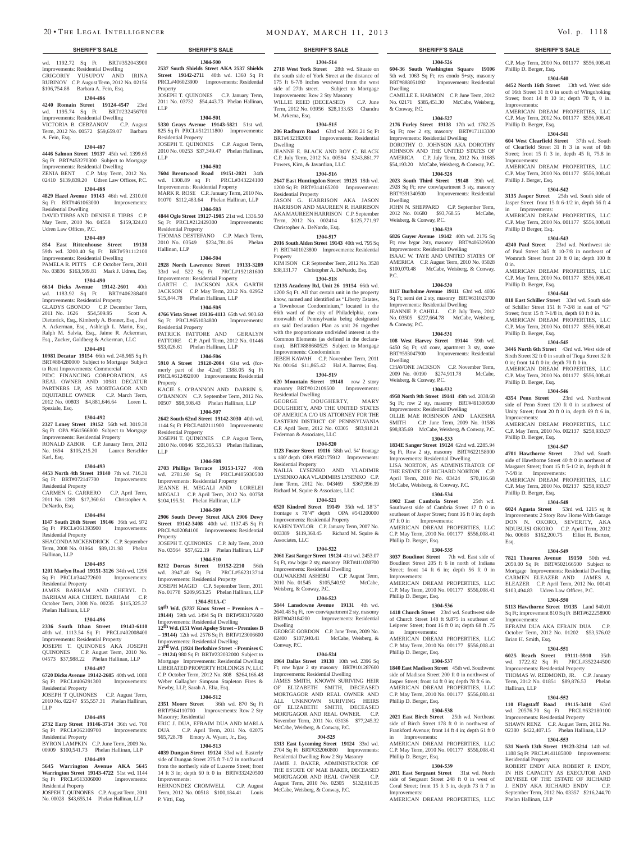wd. 1192.72 Sq Ft BRT#352043900 Improvements: Residential Dwelling GRIGORIY YUSUPOV AND IRINA RUBINOV C.P. August Term, 2012 No. 02156 \$106,754.88 Barbara A. Fein, Esq.

# **1304-486**

**4240 Romain Street 19124-4547** 23rd wd. 1195.74 Sq Ft BRT#232456700 Improvements: Residential Dwelling VICTORIA B. CEBZANOV C.P. August Term, 2012 No. 00572 \$59,659.07 Barbara A. Fein, Esq.

### **1304-487**

**4446 Salmon Street 19137** 45th wd. 1399.65 Sq Ft BRT#453270300 Subject to Mortgage Improvements: Residential Dwelling ZENIA BENT C.P. May Term, 2012 No.

### 02410 \$139,839.20 Udren Law Offices, P.C. **1304-488**

**4829 Hazel Avenue 19143** 46th wd. 2310.00 Sq Ft BRT#461063000 Improvements: Residential Dwelling DAVID TIBBS AND DENISE E. TIBBS C.P.

May Term, 2010 No. 04558 \$159,324.03 Udren Law Offices, P.C. **1304-489**

**854 East Rittenhouse Street 19138**  59th wd. 3200.40 Sq Ft BRT#591112100 Improvements: Residential Dwelling PAMELA R. PITTS C.P. October Term, 2010 No. 03836 \$163,509.81 Mark J. Udren, Esq.

### **1304-490**

**6614 Dicks Avenue 19142-2601** 40th wd. 1183.92 Sq Ft BRT#406288400 Improvements: Residential Property GLADYS GBONDO C.P. December Term, 2011 No. 1626 \$54,509.95 Scott A. Dietterick, Esq., Kimberly A. Bonner, Esq., Joel A. Ackerman, Esq., Ashleigh L. Marin, Esq., Ralph M. Salvia, Esq., Jaime R. Ackerman, Esq., Zucker, Goldberg & Ackerman, LLC

### **1304-491**

**10981 Decatur 19154** 66th wd. 248,965 Sq Ft BRT#884280000 Subject to Mortgage Subject to Rent Improvements: Commercial PIDC FINANCING CORPORATION, AS

REAL OWNER AND 10981 DECATUR PARTNERS LP, AS MORTGAGOR AND EQUITABLE OWNER C.P. March Term, 2012 No. 00803 \$4,881,646.64 Loren L. Speziale, Esq.

### **1304-492**

**2327 Loney Street 19152** 56th wd. 3019.30 Sq Ft OPA #561566800 Subject to Mortgage Improvements: Residential Property RONALD ZABOR C.P. January Term, 2012 No. 1694 \$105,215.20 Lauren Berschler Karl, Esq.

### **1304-493**

**4453 North 4th Street 19140** 7th wd. 716.31 Sq Ft BRT#072147700 Improvements: Sq Ft BRT#072147700 Residential Property CARMEN G. CARRERO C.P. April Term,

2011 No. 1289 \$17,360.61 Christopher A. DeNardo, Esq.

### **1304-494**

**1147 South 26th Street 19146** 36th wd. 972<br>
Sq Ft PRCL#361393900 Improvements: Sq Ft PRCL#361393900 Residential Property

SHACONDA MCKENDRICK C.P. September Term, 2008 No. 01964 \$89,121.98 Phelan Hallinan, LLP

### **1304-495**

**1201 Marlyn Road 19151-3126** 34th wd. 1296 Sq Ft PRCL#344272600 Improvements: Residential Property JAMES BARHAM AND CHERYL D.

BARHAM AKA CHERYL BARHAM C.P. October Term, 2008 No. 00235 \$115,325.37 Phelan Hallinan, LLP

### **1304-496**

**2336 South Ithan Street 19143-6110**  40th wd. 1113.54 Sq Ft PRCL#402008400 Improvements: Residential Property JOSEPH T. QUINONES AKA JOSEPH QUINONES C.P. August Term, 2010 No. 04573 \$37,988.22 Phelan Hallinan, LLP

# **1304-497**

LLP

Residential Property

Residential Property

**6720 Dicks Avenue 19142-2605** 40th wd. 1088 Sq Ft PRCL#406291300 Residential Property

**1304-498**

BYRON LAMPKIN C.P. June Term, 2009 No. 00909 \$100,541.73 Phelan Hallinan, LLP **1304-499 5645 Warrington Avenue AKA 5645 Warrington Street 19143-4722** 51st wd. 1144 Sq Ft PRCL#513306000 Improvements:

JOSPEH T. QUINONES C.P. August Term, 2010 No. 00028 \$43,655.14 Phelan Hallinan, LLP

### JOSEPH T QUINONES C.P. August Term, 2010 No. 02247 \$55,557.31 Phelan Hallinan,

**2732 Earp Street 19146-3714** 36th wd. 700 Sq Ft PRCL#362109700 Improvements: **2351 Moore Street** 36th wd. 870 Sq Ft BRT#364110700 Improvements: Row 2 Sty Masonry; Residential ERIC J. DUA, EFRAIM DUA AND MARLA

Newby, LLP, Sarah A. Elia, Esq.

DUA C.P. April Term, 2011 No. 02075 \$65,728.78 Emory A. Wyant, Jr., Esq. **1304-513**

**1304-512**

**4039 Dungan Street 19124** 33rd wd. Easterly side of Dungan Street 275 ft 7-1/2 in northward from the northerly side of Luzerne Street; front 14 ft 3 in; depth 60 ft 0 in BRT#332420500 Improvements: HERNONDEZ CROMWELL C.P. August

Term, 2012 No. 00518 \$100,184.41 Louis P. Vitti, Esq.

### **SHERIFF'S SALE SHERIFF'S SALE SHERIFF'S SALE SHERIFF'S SALE SHERIFF'S SALE**

**1304-514 2718 West York Street** 28th wd. Situate on the south side of York Street at the distance of 175 ft 6-7/8 inches westward from the west<br>side of 27th street. Subject to Mortgage Subject to Mortgage Improvements: Row 2 Sty Masonry WILLIE REED (DECEASED) C.P. June Term, 2012 No. 03956 \$28,133.63 Chandra M. Arkema, Esq.

### **1304-515**

**1304-500 2537 South Shields Street AKA 2537 Shields Street 19142-2711** 40th wd. 1360 Sq Ft PRCL#406023900 Improvements: Residential

JOSEPH T. QUINONES C.P. January Term, 2011 No. 03732 \$54,443.73 Phelan Hallinan,

**1304-501 5330 Grays Avenue 19143-5821** 51st wd. 825 Sq Ft PRCL#512111800 Improvements:

JOSEPH T. QUINONES C.P. August Term, 2010 No. 00253 \$37,349.47 Phelan Hallinan,

**1304-502 7604 Brentwood Road 19151-2021** 34th wd. 1308.89 sq Ft PRCL#343224100 Improvements: Residential Property MARK R. ROSE C.P. January Term, 2010 No. 01070 \$112,483.64 Phelan Hallinan, LLP **1304-503 4844 Ogle Street 19127-1905** 21st wd. 1336.50 Sq Ft PRCL#212429300 Improvements:

THOMAS DESTEFANO C.P. March Term, 2010 No. 03549 \$234,781.06 Phelan

**1304-504 2928 North Lawrence Street 19133-3209**  33rd wd. 522 Sq Ft PRCL#192181600 Improvements: Residential Property GARTH C. JACKSON AKA GARTH JACKSON C.P. May Term, 2012 No. 02952 \$15,844.78 Phelan Hallinan, LLP **1304-505 4766 Vista Street 19136-4113** 65th wd. 903.60 Sq Ft PRCL#651034800 Improvements:

PATRICK FATTORE AND GERALYN FATTORE C.P. April Term, 2012 No. 01446 \$53,026.61 Phelan Hallinan, LLP **1304-506 5910 A Street 19120-2004** 61st wd. (formerly part of the 42nd) 1388.05 Sq Ft PRCL#612492000 Improvements: Residential

KACIE S. O'BANNON AND DARRIN S. O'BANNON C.P. September Term, 2012 No. 00507 \$98,508.43 Phelan Hallinan, LLP **1304-507 2642 South 62nd Street 19142-3030** 40th wd. 1144 Sq Ft PRCL#402111900 Improvements:

JOSEPH T. QUINONES C.P. August Term, 2010 No. 00846 \$55,365.53 Phelan Hallinan

**1304-508 2703 Phillips Terrace 19153-1727** 40th wd. 2781.90 Sq Ft PRCL#405930500 Improvements: Residential Property JEANNE H. MEGALI AND LORELEI MEGALI C.P. April Term, 2012 No. 00758 \$104,195.51 Phelan Hallinan, LLP **1304-509 2906 South Dewey Street AKA 2906 Dewy Street 19142-3408** 40th wd. 1137.45 Sq Ft PRCL#402084100 Improvements: Residential

JOSEPH T. QUINONES C.P. July Term, 2010 No. 03564 \$57,622.19 Phelan Hallinan, LLP **1304-510 8212 Dorcas Street 19152-2210** 56th wd. 3947.40 Sq Ft PRCL#562313714 Improvements: Residential Property JOSEPH MAGID C.P. September Term, 2011 No. 01778 \$209,953.25 Phelan Hallinan, LLP **1304-511A-C 59th Wd. (5737 Knox Street – Premises A – 19144)** 59th wd. 1494 Sq Ft BRT#593176600 rovements: Residential Dwelling **12th Wd. (151 West Apsley Street – Premises B**   $-19144$ )  $12th$  wd.  $2576$  Sq Ft BRT#123006600 Improvements: Residential Dwelling **23rd Wd. (1924 Berkshire Street - Premises C – 19124)** 980 Sq Ft BRT#232032000 Subject to Mortgage Improvements: Residential Dwelling LIBERATED PROPERTY HOLDINGS IV, LLC C.P. October Term, 2012 No. 808 \$264,166.48 Weber Gallagher Simpson Stapleton Fires &

Property

Residential Property

Residential Property

Residential Property

Residential Property

Property

LLP

**Property** 

Hallinan, LLP

LLP

LLP

**206 Radburn Road** 63rd wd. 3691.21 Sq Ft BRT#632192000 Improvements: Residential Dwelling JEANNE E. BLACK AND ROY C. BLACK

C.P. July Term, 2012 No. 00594 \$243,861.77 Powers, Kirn, & Javardian, LLC **1304-516**

**2647 East Huntingdon Street 19125** 18th wd. 1200 Sq Ft BRT#314165200 Improvements: Residential Property JASON G. HARRISON AKA JASON HARRISON AND MAUREEN R. HARRISON

AKA MAUREEN HARRISON C.P. September<br>Term. 2012 No. 002414 \$125.771.97 Term, 2012 No. 002414 Christopher A. DeNardo, Esq. **1304-517**

**2016 South Alden Street 19143** 40th wd. 795 Sq Ft BRT#401023800 Improvements: Residential Property KIM ISON C.P. September Term, 2012 No. 3528

\$38,131.77 Christopher A. DeNardo, Esq. **1304-518**

**12135 Academy Rd, Unit 26 19154** 66th wd. 1200 Sq Ft. All that certain unit in the property know, named and identified as "Liberty Estates, a Townhouse Condominium," located in the 66th ward of the city of Philadelphia, commonwalth of Pennsylvania being designated on said Declaration Plan as unit 26 together with the proportionate undivided interest in the Common Elements (as defined in the declaration). BRT#888660525 Subject to Mortgage Improvements: Condominium JEBEH KAWAH C.P. November Term, 2011 No. 00164 \$11,865.42 Hal A. Barrow, Esq.

**1304-519 620 Mountain Street 19148** row 2 story masonry BRT#012109500 Improvements: Residential Dwelling

GEORGE DOUGHERTY, MARY DOUGHERTY, AND THE UNITED STATES OF AMERICA C/O US ATTORNEY FOR THE EASTERN DISTRICT OF PENNSYLVANIA C.P. April Term, 2012 No. 03305 \$83,918.21 Federman & Associates, LLC

### **1304-520**

**1123 Foster Street 19116** 58th wd. 54' frontage x 180' depth OPA #582175912 Improvements: Residential Property NAILIA LYSENKO AND VLADIMIR

LYSENKO AKA VLADIMIRS LYSENKO C.P. June Term, 2012 No. 043469 \$367,996.19 Richard M. Squire & Associates, LLC

# **1304-521**

**6520 Kindred Street 19149** 35th wd. 18'3" frontage x 78'4" depth OPA #541200000 Improvements: Residential Property KAREN TAYLOR C.P. January Term, 2007 No. 003389 \$119,368.45 Richard M. Squire & Associates, LLC

### **1304-522**

**2061 East Sanger Street 19124** 41st wd. 2453.07 Sq Ft, row b/gar 2 sty, masonry BRT#411038700 Improvements: Residential Dwelling

OLUWAKEMI ASHEBU C.P. August Term,<br>2010 No. 01545 \$105,540.92 McCabe, 2010 No. 01545 \$105,540.92 Weisberg, & Conway, P.C.

# **1304-523**

**5844 Lansdowne Avenue 19131** 4th wd. 2640.48 Sq Ft, row conv/apartment 2 sty, masonry BRT#043184200 Improvements: Residential Dwelling

GEORGE GORDON C.P. June Term, 2009 No. 02400 \$107,940.41 McCabe, Weisberg, & Conway, P.C.

### **1304-524**

**1964 Dallas Street 19138** 10th wd. 2396 Sq Ft; row b/gar 2 sty masonry BRT#101287600 Improvements: Residential Dwelling JAMES SMITH, KNOWN SURIVING HEIR OF ELIZABETH SMITH, DECEASED MORTGAGOR AND REAL OWNER AND ALL UNKNOWN SURIVING HEIRS OF ELIZABETH SMITH, DECEASED MORTGAGOR AND REAL OWNER. C.P. November Term, 2011 No. 03136 \$77,245.32 McCabe, Weisberg, & Conway, P.C.

# **304-525**

**1313 East Lycoming Street 19124** 33rd wd. 2704 Sq Ft BRT#332060800 Improvements: Residential Dwelling; Row 2 Sty Masonry JAMIE J. BAKER, ADMINISTRATOR OF THE ESTATE OF MAE BAKER, DECEASED MORTGAGOR AND REAL OWNER C.P. August Term, 2010 No. 02305 \$132,610.35 McCabe, Weisberg, & Conway, P.C.

# **1304-526 604-36 South Washington Square 19106**

C.P. May Term, 2010 No. 001177 \$556,008.41

**1304-540 4452 North 16th Street** 13th wd. West side of 16th Street 31 ft 0 in south of Wingohoking Street; front 14 ft 10 in; depth 70 ft, 0 in.

AMERICAN DREAM PROPERTIES, LLC C.P. May Term, 2012 No. 001177 \$556,008.41

**1304-541 604 West Clearfield Street** 37th wd. South of Clearfield Street 31 ft 3 in west of 6th Street; front 15 ft 3 in, depth 45 ft, 75.8 in

AMERICAN DREAM PROPERTIES, LLC C.P. May Term, 2010 No. 001177 \$556,008.41

**1304-542 3135 Jasper Street** 25th wd. South side of Jasper Street front 15 ft 6-1/2 in, depth 56 ft 4

AMERICAN DREAM PROPERTIES, LLC C.P. May Term, 2010 No. 001177 \$556,008.41

**1304-543 4240 Paul Street** 23rd wd. Northwest sie of Paul Street 345 ft 10-7/8 in northeast of Womrath Street front 20 ft 0 in; depth 100 ft

AMERICAN DREAM PROPERTIES, LLC C.P. May Term, 2010 No. 001177 \$556,008.41

**1304-544 818 East Schiller Street** 33rd wd. South side of Schiller Street 151 ft 7-3/8 in east of "G" Street; front 15 ft 7-1/8 in, depth 60 ft 0 in. AMERICAN DREAM PROPERTIES, LLC C.P. May Term, 2010 No. 001177 \$556,008.41

**1304-545 3446 North 6th Street** 43rd wd. West side of Sixth Street 32 ft 0 in south of Tioga Street 32 ft 0 in; front 14 ft 0 in; depth 70 ft 0 in. AMERICAN DREAM PROPERTIES, LLC C.P. May Term, 2010 No. 001177 \$556,008.41

**1304-546 4354 Penn Street** 23rd wd. Northwest side of Penn Street 120 ft 0 in southwest of Unity Street; front 20 ft 0 in, depth 69 ft 6 in,

AMERICAN DREAM PROPERTIES, LLC C.P. May Term, 2010 No. 002137 \$258,933.57

**1304-547 4701 Hawthorne Street** 23rd wd. South side of Hawthorne Street 40 ft 0 in northeast of Margaret Street; front 15 ft 5-1/2 in, depth 81 ft

AMERICAN DREAM PROPERTIES, LLC C.P. May Term, 2010 No. 002137 \$258,933.57

**1304-548 6024 Agusta Street** 53rd wd. 1215 sq ft Improvements: 2 Story Row Home With Garage DON N. OKORO, SEVERITY, AKA NDUBUISI OKORO C.P. April Term, 2012 No. 00608 \$162,200.75 Elliot H. Berton,

**1304-549 7821 Thouron Avenue 19150** 50th wd. 2050.00 Sq Ft BRT#502166500 Subject to Mortgage Improvements: Residential Dwelling CARMEN ELEAZER AND JAMES A. ELEAZER C.P. April Term, 2012 No. 00141 \$103,494.83 Udren Law Offices, P.C. **1304-550 5113 Hawthorne Street 19135** Land 840.01 Sq Ft; improvement 810 Sq Ft BRT#622258900

EFRAIM DUA AKA EFRAIN DUA C.P. October Term, 2012 No. 01202 \$53,576.02

**1304-551 6025 Reach Street 19111-5910** 35th wd. 1722.82 Sq Ft PRCL#352244500 Improvements: Residential Property THOMAS W. REDMOND, JR. C.P. January Term, 2012 No. 01851 \$89,876.53 Phelan

**1304-552 110 Flagstaff Road 19115-3410** 63rd wd. 20576.70 Sq Ft PRCL#632180100 Improvements: Residential Property SHAWN RENZ C.P. August Term, 2012 No. 02380 \$422,407.15 Phelan Hallinan, LLP **1304-553 531 North 13th Street 19123-3214** 14th wd. 1188 Sq Ft PRCL#141185800 Improvements:

ROBERT ENDY AKA ROBERT P. ENDY, IN HIS CAPACITY AS EXECUTOR AND DEVISEE OF THE ESTATE OF RICHARD J. ENDY AKA RICHARD ENDY C.P. September Term, 2012 No. 03357 \$216,244.70

Phillip D. Berger, Esq.

Phillip D. Berger, Esq.

Improvements:

Improvements:

Phillip J. Berger, Esq.

in Improvements:

Phillip D Berger, Esq.

Phillip D. Berger, Esq.

Phillip D. Berger, Esq.

Phillip D. Berger, Esq.

Phillip D. Berger, Esq.

7-5/8 in Improvements:

Phillip D. Berger, Esq.

Esq.

Improvements:

Hallinan, LLP

Residential Property

Phelan Hallinan, LLP

Brian H. Smith, Esq.

Improvements:

0 in.

5th wd. 1063 Sq Ft; res condo 5+sty, masonry BRT#888051092 Improvements: Residential Dwelling CAMILLE E. HARMON C.P. June Term, 2012

No. 02171 \$385,451.30 McCabe, Weisberg, & Conway, P.C. **1304-527**

### **2176 Furley Street 19138** 17th wd. 1782.25

Sq Ft; row 2 sty, masonry BRT#171113300 Improvements: Residential Dwelling DOROTHY O. JOHNSON AKA DOROTHY JOHNSON AND THE UNITED STATES OF AMERICA C.P. July Term, 2012 No. 01685 \$54,193.20 McCabe, Weisberg, & Conway, P.C.

# **1304-528**

**2023 South Third Street 19148** 39th wd. 2928 Sq Ft; row conv/apartment 3 sty, masonry BRT#391340500 Improvements: Residential Dwelling JOHN N. SHEPPARD C.P. September Term,

2012 No. 01680 \$93,768.55 McCabe, Weisberg, & Conway, P.C.

# **1304-529**

**6826 Guyer Avenue 19142** 40th wd. 2176 Sq Ft; row b/gar 2sty, masonry BRT#406329500

Improvements: Residential Dwelling ISAAC W. TAYE AND UNITED STATES OF AMERICA C.P. August Term, 2010 No. 05028 \$100,070.48 McCabe, Weisberg, & Conway, P.C.

### **1304-530**

**8117 Burholme Avenue 19111** 63rd wd. 4036 Sq Ft; semi det 2 sty, masonry BRT#631023700 Improvements: Residential Dwelling JEANNIE P. CAHILL C.P. July Term, 2012 No. 03505 \$227,664.78 McCabe, Weisberg, & Conway, P.C.

**1304-531 108 West Harvey Street 19144** 59th wd. 6450 Sq Ft; s/d conv, apartment 3 sty, stone

BRT#593047900 Improvements: Residential Dwelling CHAVONE JACKSON C.P. November Term,

2009 No. 00190 \$274,911.78 McCabe, Weisberg, & Conway, P.C. **1304-532**

**4958 North 9th Street 19141** 49th wd. 2838.68 Sq Ft; row 2 sty, masonry BRT#491300500 Improvements: Residential Dwelling OLLIE MAE ROBINSON AND LAKESHA SMITH C.P. June Term, 2009 No. 01586

\$98,835.69 McCabe, Weisberg, & Conway, P.C. **1304-533**

### **1834E Sanger Street 19124** 62nd wd. 2285.94 Sq Ft, Row 2 sty, masonry BRT#622158900 Improvements: Residential Dwelling LISA NORTON, AS ADMINISTRATOR OF

THE ESTATE OF RICHARD NORTON C.P. April Term, 2010 No. 03424 \$70,116.68 McCabe, Weisberg, & Conway, P.C.

# **1304-534**

**1902 East Cambria Street** 25th wd. Southwest side of Cambria Street 17 ft 0 in southeast of Jasper Street; front 16 ft 0 in; depth 97 ft 0 in Improvements: AMERICAN DREAM PROPERTIES, LLC C.P. May Term, 2010 No. 001177 \$556,008.41 Phillip D. Berger, Esq.

# **1304-535**

**3037 Boudinot Street** 7th wd. East side of Boudinot Street 205 ft 6 in north of Indiana Street; front 14 ft 6 in; depth 56 ft 0 in Improvements: AMERICAN DREAM PROPERTIES, LLC

C.P. May Term, 2010 No. 001177 \$556,008.41 Phillip D. Berger, Esq.

# **1304-536**

**1418 Church Street** 23rd wd. Southwest side of Church Street 148 ft 9.875 in southeast of Leiperer Street; front 16 ft 0 in; depth 68 ft .75 in Improvements:

AMERICAN DREAM PROPERTIES, LLC C.P. May Term, 2010 No. 001177 \$556,008.41 Phillip D. Berger, Esq.

### **1304-537**

**1840 East Madison Street** 45th wd. Southwest side of Madison Street 200 ft 0 in northwest of Jasper Street; front 14 ft 0 in; depth 78 ft 6 in. AMERICAN DREAM PROPERTIES, LLC C.P. May Term, 2010 No. 001177 \$556,008.41 Phillip D. Berger, Esq.

### **1304-538**

**2021 East Birch Street** 25th wd. Northeast side of Birch Street 178 ft 0 in northwest of Frankford Avenue; front 14 ft 4 in; depth 61 ft 0 in Improvements: Improvements:

AMERICAN DREAM PROPERTIES, LLC C.P. May Term, 2010 No. 001177 \$556,008.41 Phillip D. Berger, Esq.

**1304-539 2011 East Sergeant Street** 31st wd. North side of Sergeant Street 248 ft 0 in west of Coral Street; front 15 ft 3 in, depth 73 ft 7 in

AMERICAN DREAM PROPERTIES, LLC

Improvements: